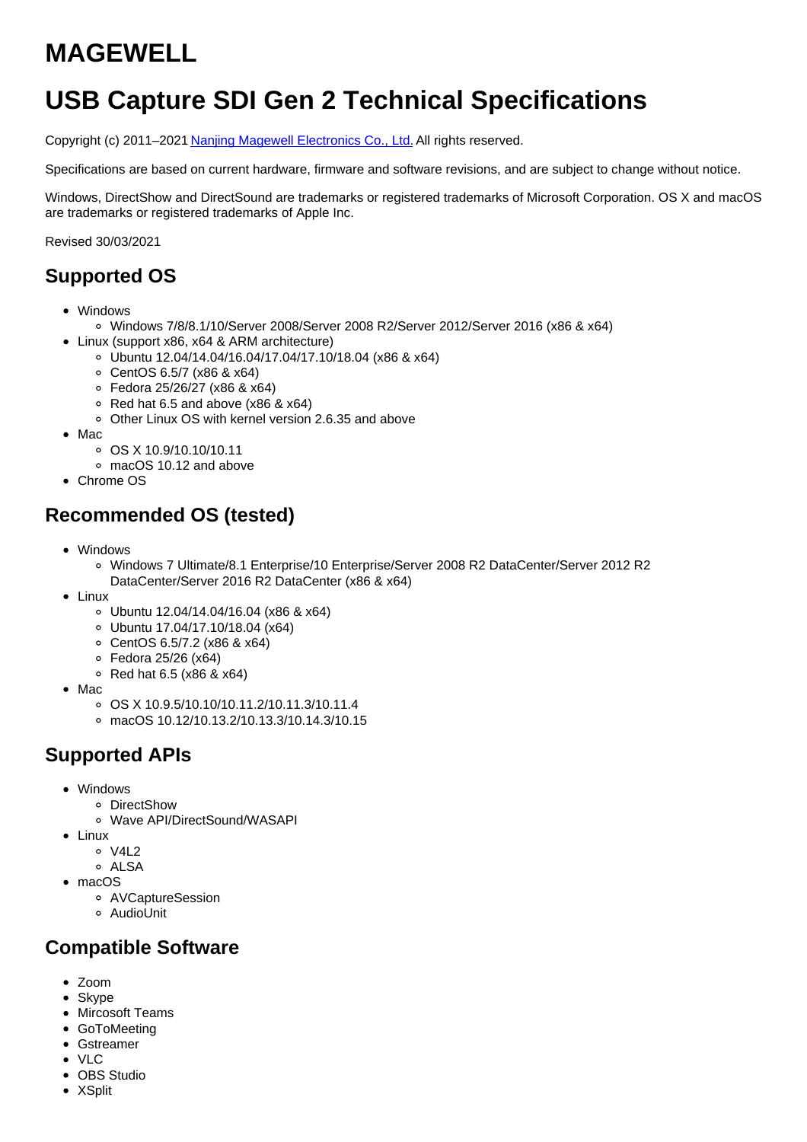# **MAGEWELL**

# **USB Capture SDI Gen 2 Technical Specifications**

Copyright (c) 2011–2021 Nanjing Magewell [Electronics](http://www.magewell.com) Co., Ltd. All rights reserved.

Specifications are based on current hardware, firmware and software revisions, and are subject to change without notice.

Windows, DirectShow and DirectSound are trademarks or registered trademarks of Microsoft Corporation. OS X and macOS are trademarks or registered trademarks of Apple Inc.

Revised 30/03/2021

### **Supported OS**

- Windows
	- Windows 7/8/8.1/10/Server 2008/Server 2008 R2/Server 2012/Server 2016 (x86 & x64)
- Linux (support x86, x64 & ARM architecture)
	- Ubuntu 12.04/14.04/16.04/17.04/17.10/18.04 (x86 & x64)
	- CentOS 6.5/7 (x86 & x64)
	- Fedora 25/26/27 (x86 & x64)
	- Red hat 6.5 and above (x86 & x64)
	- Other Linux OS with kernel version 2.6.35 and above
- $•$  Mac
	- OS X 10.9/10.10/10.11
	- macOS 10.12 and above
- Chrome OS

### **Recommended OS (tested)**

- Windows
	- Windows 7 Ultimate/8.1 Enterprise/10 Enterprise/Server 2008 R2 DataCenter/Server 2012 R2 DataCenter/Server 2016 R2 DataCenter (x86 & x64)
- Linux
	- Ubuntu 12.04/14.04/16.04 (x86 & x64)
	- Ubuntu 17.04/17.10/18.04 (x64)
	- CentOS 6.5/7.2 (x86 & x64)
	- Fedora 25/26 (x64)
	- $\circ$  Red hat 6.5 (x86 & x64)
- Mac
	- OS X 10.9.5/10.10/10.11.2/10.11.3/10.11.4
	- macOS 10.12/10.13.2/10.13.3/10.14.3/10.15

### **Supported APIs**

- Windows
	- DirectShow
	- Wave API/DirectSound/WASAPI
- Linux
	- o V4L2
	- ALSA
- macOS
	- AVCaptureSession
	- AudioUnit

#### **Compatible Software**

- Zoom
- Skype
- Mircosoft Teams
- GoToMeeting
- Gstreamer
- VLC
- OBS Studio
- XSplit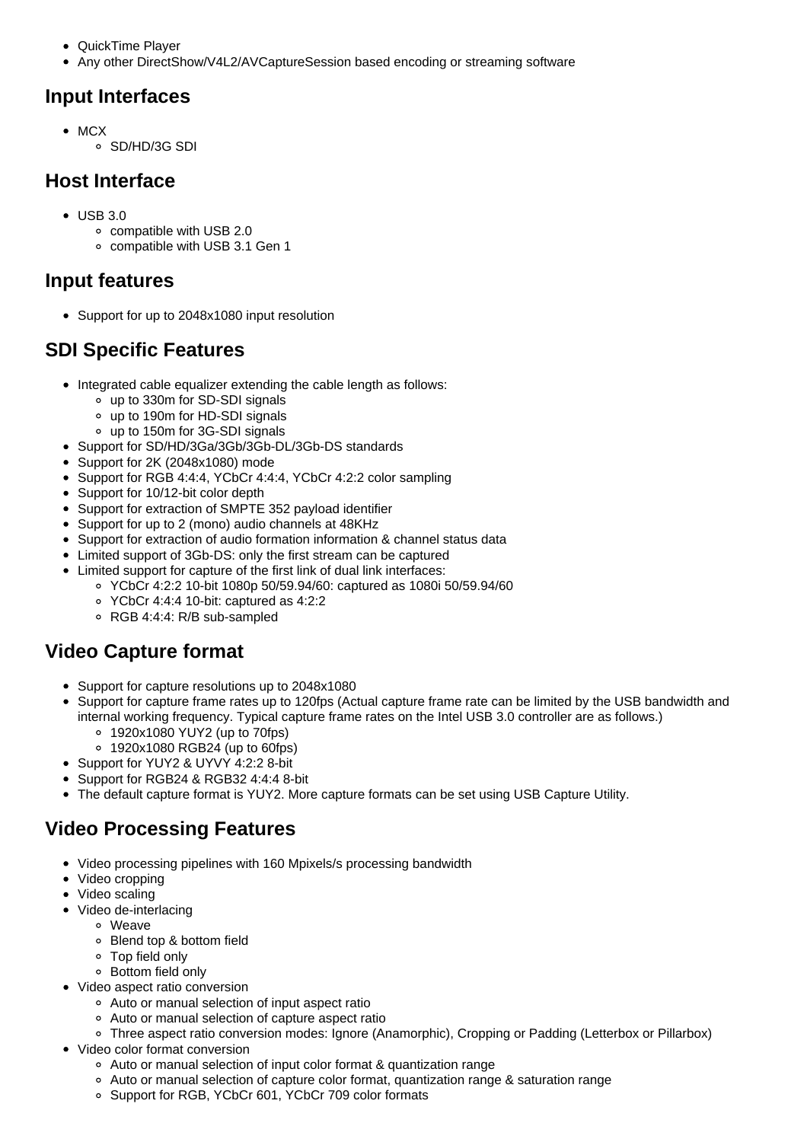- QuickTime Player
- Any other DirectShow/V4L2/AVCaptureSession based encoding or streaming software

### **Input Interfaces**

- $OMCX$ 
	- SD/HD/3G SDI

## **Host Interface**

- USB 3.0
	- compatible with USB 2.0
	- compatible with USB 3.1 Gen 1

### **Input features**

• Support for up to 2048x1080 input resolution

# **SDI Specific Features**

- Integrated cable equalizer extending the cable length as follows:
	- up to 330m for SD-SDI signals
	- up to 190m for HD-SDI signals
	- up to 150m for 3G-SDI signals
- Support for SD/HD/3Ga/3Gb/3Gb-DL/3Gb-DS standards
- Support for 2K (2048x1080) mode
- Support for RGB 4:4:4, YCbCr 4:4:4, YCbCr 4:2:2 color sampling
- Support for 10/12-bit color depth
- Support for extraction of SMPTE 352 payload identifier
- Support for up to 2 (mono) audio channels at 48KHz
- Support for extraction of audio formation information & channel status data
- Limited support of 3Gb-DS: only the first stream can be captured
- Limited support for capture of the first link of dual link interfaces:
	- YCbCr 4:2:2 10-bit 1080p 50/59.94/60: captured as 1080i 50/59.94/60
	- YCbCr 4:4:4 10-bit: captured as 4:2:2
	- RGB 4:4:4: R/B sub-sampled

# **Video Capture format**

- Support for capture resolutions up to 2048x1080
- Support for capture frame rates up to 120fps (Actual capture frame rate can be limited by the USB bandwidth and internal working frequency. Typical capture frame rates on the Intel USB 3.0 controller are as follows.)
	- 1920x1080 YUY2 (up to 70fps)
	- 1920x1080 RGB24 (up to 60fps)
- Support for YUY2 & UYVY 4:2:2 8-bit
- Support for RGB24 & RGB32 4:4:4 8-bit
- The default capture format is YUY2. More capture formats can be set using USB Capture Utility.

# **Video Processing Features**

- Video processing pipelines with 160 Mpixels/s processing bandwidth
- Video cropping
- Video scaling
- Video de-interlacing
	- Weave
	- Blend top & bottom field
	- Top field only
	- Bottom field only
- Video aspect ratio conversion
	- Auto or manual selection of input aspect ratio
	- Auto or manual selection of capture aspect ratio
- Three aspect ratio conversion modes: Ignore (Anamorphic), Cropping or Padding (Letterbox or Pillarbox) Video color format conversion
	- Auto or manual selection of input color format & quantization range
	- Auto or manual selection of capture color format, quantization range & saturation range
	- Support for RGB, YCbCr 601, YCbCr 709 color formats